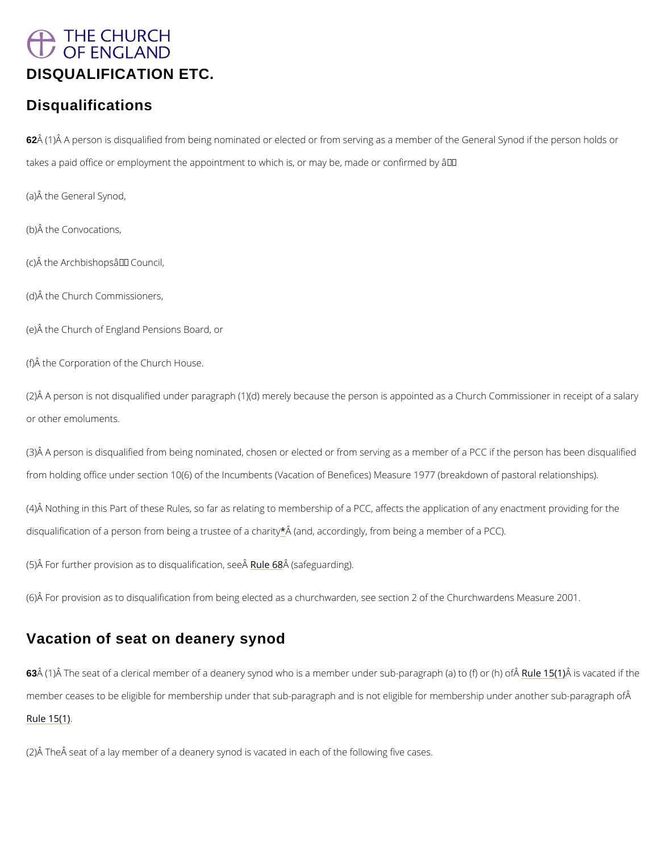# <span id="page-0-0"></span>THE CHURCH OF ENGLAND [DISQUALIFICATION ETC.](/var/www/www.churchofengland.org/web/contents.htm#ch7)

## **Disqualifications**

62 Å (1)  $\rm \AA$  A person is disqualified from being nominated or elected or from serving as a membe takes a paid office or employment the appointment to which is, or may be, made or confirmed

(a)Â the General Synod,

(b)Â the Convocations,

 $(c)$   $\hat{A}$  the Archbishops  $\hat{a} \in \mathbb{M}$  Council,

(2)Å A person is not disqualified under paragraph (1)(d) merely because the person is appoir or other emoluments.

(3) $\hat{A}$  A person is disqualified from being nominated, chosen or elected or from serving as a m from holding office under section 10(6) of the Incumbents (Vacation of Benefices) Measure 1

(4) $\hat{A}$  Nothing in this Part of these Rules, so far as relating to membership of a PCC, affects disqualification of a person from bei[ng](#page-8-0) Âa (atrudstee coo frobing hypity form being a member of a PCC).

(5) $\hat{A}$  For further provision as to dRsuojee  $\hat{a}$ aldi $\hat{B}$  (scaaftigounarsdie nego $\hat{A}$ ).

(6) $\hat{A}$  For provision as to disqualification from being elected as a churchwarden, see section 2

(d)Â the Church Commissioners,

(e)Â the Church of England Pensions Board, or

(f)Â the Corporation of the Church House.

## Vacation of seat on deanery synod

63Â (1)Â The seat of a clerical member of a deanery synod who is a memb<mark>Reulen1d:</mark>®e(r**is**) unba-opaatreadgri

member ceases to be eligible for membership under that sub-paragraph and is not eligible fo

Rule  $15(1)$ 

 $(2)$   $\hat{A}$  The  $\hat{A}$  seat of a lay member of a deanery synod is vacated in each of the following five c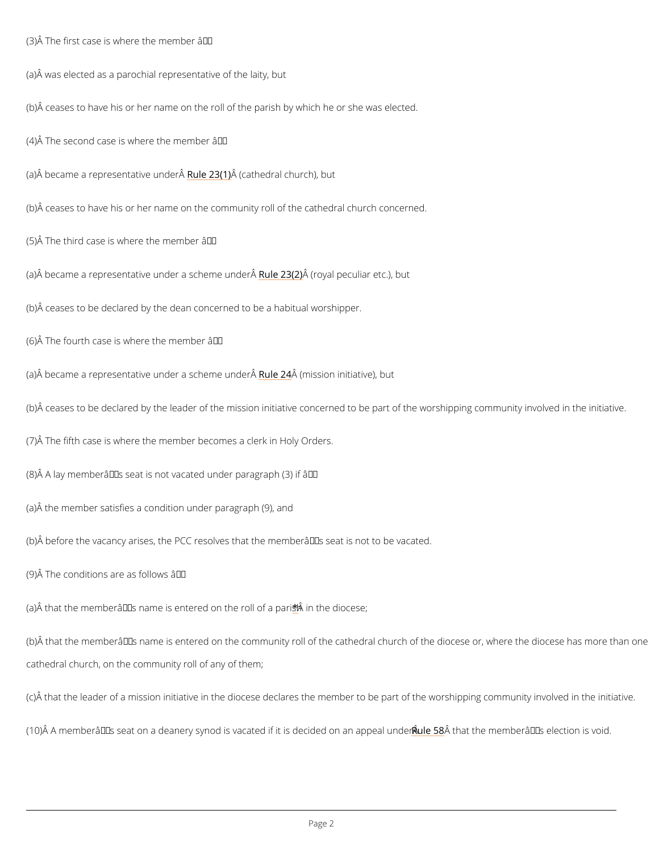<span id="page-1-0"></span>(3)  $\hat{A}$  The first case is where the member  $\hat{a} \in \hat{B}$ 

(a)Â was elected as a parochial representative of the laity, but

(b) $\hat{A}$  ceases to have his or her name on the roll of the parish by which he or she was elected

(4)  $\hat{A}$  The second case is where the member  $\hat{a} \in \hat{B}$ 

(a) $\hat{A}$  became a represen $\hat{R}$ autiere $2\hat{B}$  (1)  $\hat{C}$   $\hat{C}$  and church), but

(b)Â ceases to have his or her name on the community roll of the cathedral church concerned.

(5) $\hat{A}$  The third case is where the member  $\hat{a} \in \hat{B}$ 

(a) $\hat{A}$  became a representative under under  $\hat{a}$  ( $\hat{a}$ )  $\hat{e}$   $\hat{a}$ )  $\hat{e}$   $\hat{a}$  wand dpeer  $\hat{a}$ uliar etc.), but

(b)Â ceases to be declared by the dean concerned to be a habitual worshipper.

(6)  $\hat{A}$  The fourth case is where the member  $\hat{a} \in \hat{B}$ 

(a) $\hat{A}$  became a representative under under  $\hat{A}$  24  $\hat{A}$  for  $\hat{A}$  and  $\hat{A}$  ative), but

(b)Å ceases to be declared by the leader of the mission initiative concerned to be part of the

(7)Â The fifth case is where the member becomes a clerk in Holy Orders.

(8) $\hat{A}$  A lay memberâ $\epsilon^{T M}$ s seat is not vacated under paragraph (3) if â $\epsilon$ "

(a)Â the member satisfies a condition under paragraph (9), and

(b) $\rm \AA$  before the vacancy arises, the PCC resolves that the memberâ $\in$  ™s seat is not to be vac

(9)  $\hat{A}$  The conditions are as follows  $\hat{a} \in \hat{B}$ 

(a)  $\hat{A}$  that th[e](#page-8-0) member  $\hat{a} \in T^M$  s name is ente  $\hat{A}$  e dinoth  $\hat{a}$  holds be f a parish

(b) $\hat{A}$  that the member $\hat{a} \in \texttt{TM}$ s name is entered on the community roll of the cathedral church of

cathedral church, on the community roll of any of them;

(c) $\hat{\sf A}$  that the leader of a mission initiative in the diocese declares the member to be part of

(10) A member's seat on a deanery synod is vacatedRiufl**etÂs&thdætctble dmoemmberân£p™esale uenodteio**.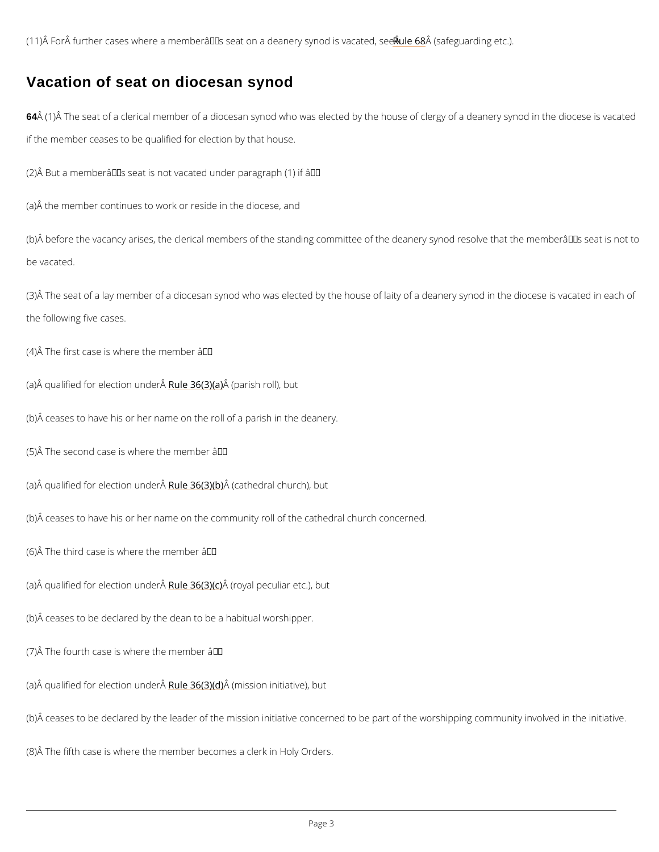(11) $\hat{A}$  For $\hat{A}$  further cases where a member $\hat{a} \in \text{TM}$ s seat o<mark>nRualed</mark>e $\hat{a}$ 88 (nsearfye **gya** oddini**g eac**a) ted, see  $\hat{A}$ 

### Vacation of seat on diocesan synod

64Å (1)Å The seat of a clerical member of a diocesan synod who was elected by the house of if the member ceases to be qualified for election by that house.

(2)  $\hat{A}$  But a memberâ $\epsilon^{T M}$ s seat is not vacated under paragraph (1) if â $\epsilon^*$ 

(b)  $\hat{A}$  before the vacancy arises, the clerical members of the standing committee of the deane be vacated.

(3)Å The seat of a lay member of a diocesan synod who was elected by the house of laity of the following five cases.

(4)  $\hat{A}$  The first case is where the member  $\hat{a} \in \hat{B}$ 

(a) $\hat{A}$  qualified for ele $\hat{R}$  tuiken 3 $\hat{B}$ ( $\hat{A}$ )  $\hat{B}$ )  $\hat{B}$   $\hat{B}$  rish roll), but

(a)Â the member continues to work or reside in the diocese, and

(b)Â ceases to have his or her name on the roll of a parish in the deanery.

(5)  $\hat{A}$  The second case is where the member  $\hat{a} \in \hat{B}$ 

(a) $\hat{A}$  qualified for ele $\hat{R}$  unider 3 $\hat{G}$ ( $\hat{A}$ ) $\hat{B}$ ) $\hat{\theta}$  ( $\hat{B}$ ) $\hat{\theta}$ )  $\hat{B}$  athe dral church), but

(b)Â ceases to have his or her name on the community roll of the cathedral church concerned.

(6) $\hat{A}$  The third case is where the member  $\hat{a} \in \hat{B}$ 

(a) $\hat{A}$  qualified for ele $\hat{R}$  tuiken 3 $\hat{B}$ n $(\hat{A}\hat{B})$   $\hat{\theta}$  ((ro $\hat{B}$ ))  $\hat{A}$  peculiar etc.), but

(b)Â ceases to be declared by the dean to be a habitual worshipper.

(7) $\AA$  The fourth case is where the member â $\epsilon$ "

(a) $\hat{A}$  qualified for ele $\hat{R}$  uniden 366 $(\hat{A}\hat{B}\hat{\phi})$  (m $\hat{A}$ ) is sion initiative), but

(b) $\hat{A}$  ceases to be declared by the leader of the mission initiative concerned to be part of the

(8)Â The fifth case is where the member becomes a clerk in Holy Orders.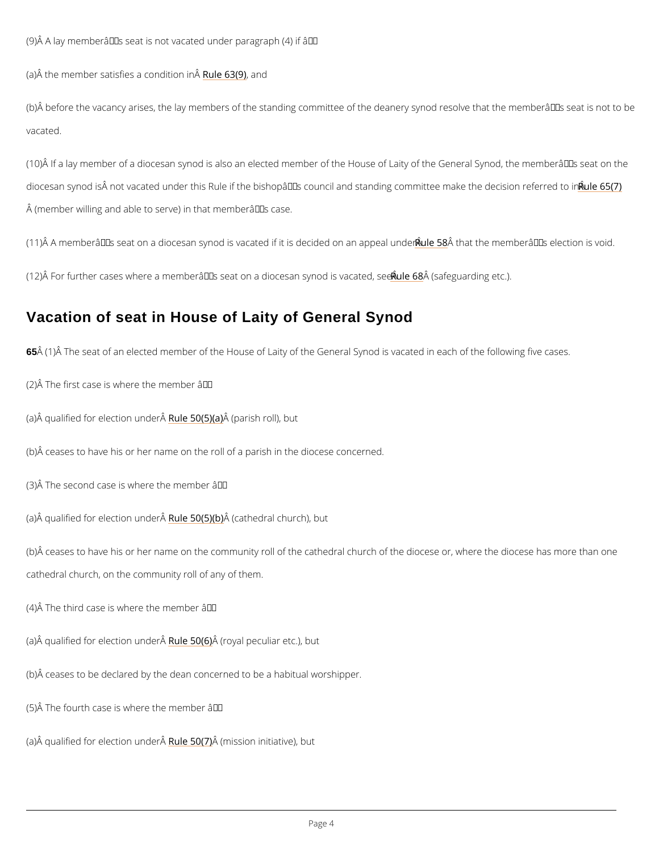(9)Å A lay memberâ $\in$ ™s seat is not vacated under paragraph (4) if â $\in$ "

(a) $\hat{A}$  the member satisfies Raule 636( $\hat{A}$ ) din  $\hat{A}$ 

(b)Å before the vacancy arises, the lay members of the standing committee of the deanery sy vacated.

 $(10)$   $\hat{A}$  If a lay member of a diocesan synod is also an elected member of the House of Laity o diocesan synod is Å not vacated under this Rule if the bishopâ $\in$  ™s council and staRnuden 65x(7) n (member willing and able to serve) in that member's case.

(11) A member's seat on a diocesan synod is vacate<mark>dRuiflei</mark>tÂsi8shoale dihdee ohnen naenrâan⊕ p<sup>w</sup>esa ellencotieo

(12)  $\hat{A}$  For further cases where a member $\hat{a} \in \mathbb{T}^M$ s seat on Raubleid $\hat{a}$ ce  $\hat{a}$  safegyaodding etaca)ted, see  $\hat{A}$ 

(b) $\hat{A}$  ceases to have his or her name on the community roll of the cathedral church of the dio cathedral church, on the community roll of any of them.

(4)  $\hat{A}$  The third case is where the member  $\hat{a} \in \hat{B}$ 

(a)Â qualified for eleRetuiken 5 $\hat{\mathcal{M}}$  (\$)  $\hat{\phi}$   $\hat{\phi}$   $\hat{\phi}$  al peculiar etc.), but

#### Vacation of seat in House of Laity of General Synod

65Â (1)Â The seat of an elected member of the House of Laity of the General Synod is vacate

(2)  $\hat{A}$  The first case is where the member  $\hat{a} \in \hat{B}$ 

(a) $\hat{A}$  qualified for ele $\hat{R}$  tuiken 500 $\hat{A}$ ( $\hat{B}$ )  $\hat{\theta}$  ( $\hat{r}$  $\hat{A}$ )  $\hat{A}$  rish roll), but

(b)Â ceases to have his or her name on the roll of a parish in the diocese concerned.

(3) $\hat{A}$  The second case is where the member  $\hat{a} \in \hat{B}$ 

(a)Å qualified for eleRetuiken 5 $\omega$ n( $\ddot{\mathbf{a}}$ )  $\phi$ ( $\ddot{\mathbf{b}}$ ) the dral church), but

(b)Â ceases to be declared by the dean concerned to be a habitual worshipper.

(5)  $\hat{A}$  The fourth case is where the member  $\hat{a} \in \hat{B}$ 

(a) $\hat{A}$  qualified for ele $\hat{R}$  tuiken 5 $\hat{U}$ n  $\hat{A}$  of  $\hat{A}$  sion initiative), but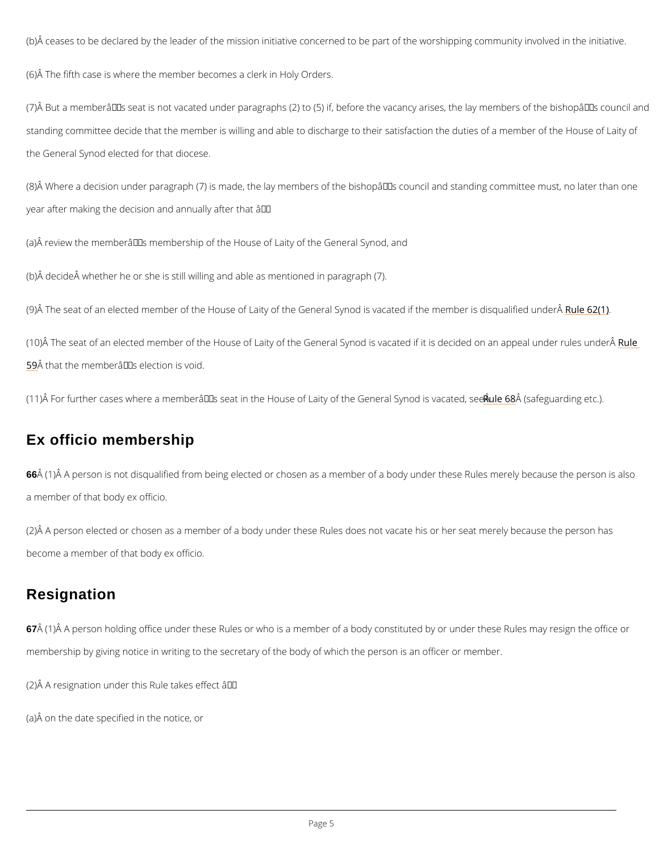<span id="page-4-0"></span>(b)Å ceases to be declared by the leader of the mission initiative concerned to be part of the

(6)Â The fifth case is where the member becomes a clerk in Holy Orders.

(7)Å But a memberâ $\in$ ™s seat is not vacated under paragraphs (2) to (5) if, before the vacanc standing committee decide that the member is willing and able to discharge to their satisfact the General Synod elected for that diocese.

(8)Å Where a decision under paragraph (7) is made, the lay members of the bishopâ $\in$ ™s cour year after making the decision and annually after that  $\hat{a} \in \hat{a}$ 

(a) $\AA$  review the memberâ $\epsilon$ ™s membership of the House of Laity of the General Synod, and

66 $\rm \hat{A}$  (1) $\rm \hat{A}$  A person is not disqualified from being elected or chosen as a member of a body und a member of that body ex officio.

(2)Å A person elected or chosen as a member of a body under these Rules does not vacate h become a member of that body ex officio.

(b) decide whether he or she is still willing and able as mentioned in paragraph (7).

(9)Å The seat of an elected member of the House of Laity of the General Synod Ralea& ated if

(10)Å The seat of an elected member of the House of Laity of the General Synod is vac&tueld i  $59^{\circ}$  $59^{\circ}$  that the member  $\hat{a} \in \mathbb{M}$  s election is void.

(11)  $\hat{A}$  For further cases where a member $\hat{a} \in \text{Im} s$  seat in the House of Rauiltey  $\hat{A}$ oof stahfee gCueannedriaalg Seytoro)

### Ex officio membership

### Resignation

67Å (1)Å Å person holding office under these Rules or who is a member of a body constituted

membership by giving notice in writing to the secretary of the body of which the person is an

(2)  $\hat{A}$  A resignation under this Rule takes effect  $\hat{a} \in \hat{B}$ 

(a)Â on the date specified in the notice, or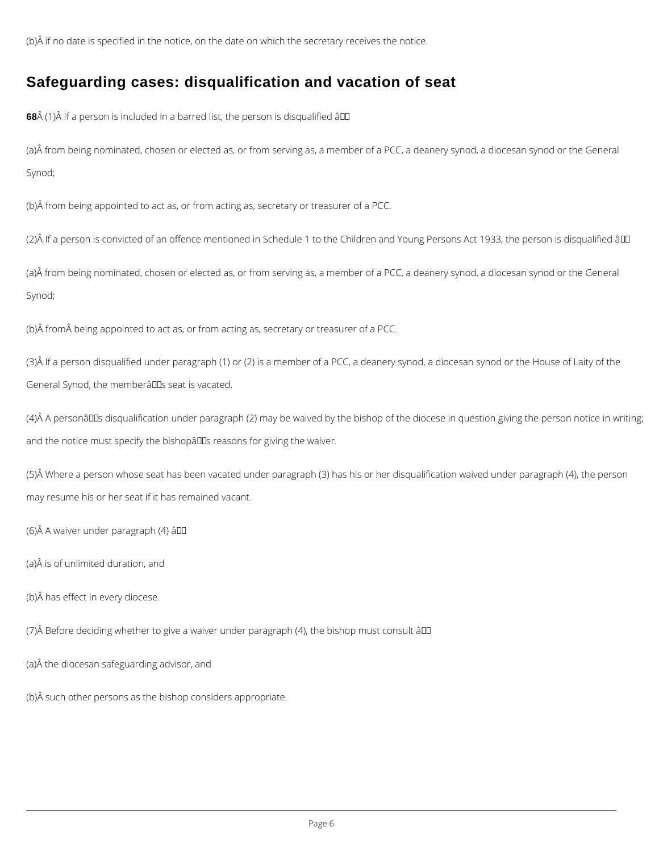<span id="page-5-0"></span>(b)Â if no date is specified in the notice, on the date on which the secretary receives the notice.

## **Safeguarding cases: disqualification and vacation of seat**

**68** $\hat{A}$  (1) $\hat{A}$  If a person is included in a barred list, the person is disqualified  $\hat{a}$  III

(a)Â from being nominated, chosen or elected as, or from serving as, a member of a PCC, a deanery synod, a diocesan synod or the General Synod;

(3)Â If a person disqualified under paragraph (1) or (2) is a member of a PCC, a deanery synod, a diocesan synod or the House of Laity of the General Synod, the memberâlls seat is vacated.

 $(4)$  A personâll Ds disqualification under paragraph (2) may be waived by the bishop of the diocese in question giving the person notice in writing; and the notice must specify the bishopâlls reasons for giving the waiver.

(b)Â from being appointed to act as, or from acting as, secretary or treasurer of a PCC.

(2)Â If a person is convicted of an offence mentioned in Schedule 1 to the Children and Young Persons Act 1933, the person is disqualified â

(a)Â from being nominated, chosen or elected as, or from serving as, a member of a PCC, a deanery synod, a diocesan synod or the General Synod;

(b)  $\hat{A}$  from  $\hat{A}$  being appointed to act as, or from acting as, secretary or treasurer of a PCC.

(5)Â Where a person whose seat has been vacated under paragraph (3) has his or her disqualification waived under paragraph (4), the person may resume his or her seat if it has remained vacant.

(6)Â A waiver under paragraph (4) â

(a)Â is of unlimited duration, and

(b)Â has effect in every diocese.

(7) $\hat{A}$  Before deciding whether to give a waiver under paragraph (4), the bishop must consult  $\hat{a}$  $\Box$ 

(a)Â the diocesan safeguarding advisor, and

(b)Â such other persons as the bishop considers appropriate.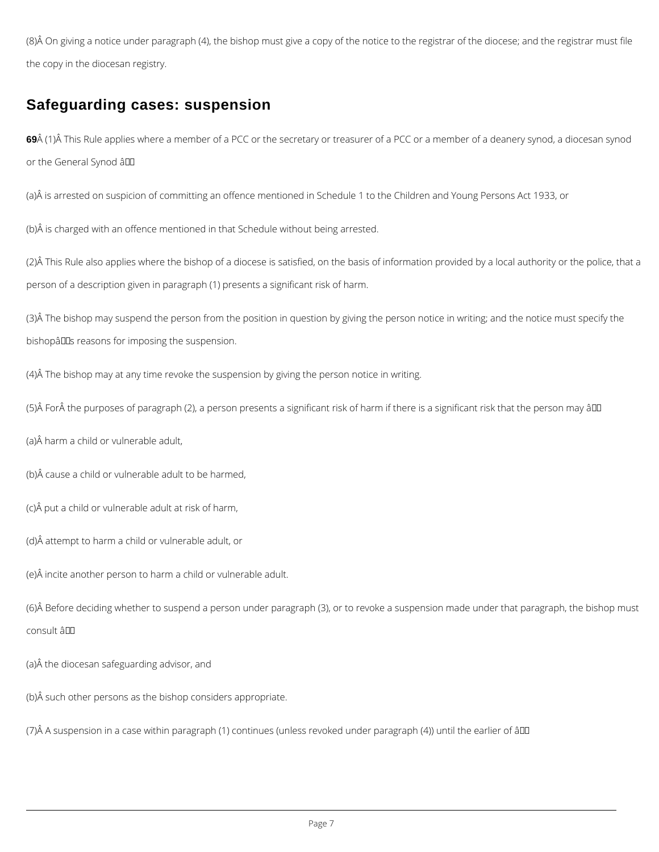<span id="page-6-0"></span>(8)Â On giving a notice under paragraph (4), the bishop must give a copy of the notice to the registrar of the diocese; and the registrar must file the copy in the diocesan registry.

69Å (1)Å This Rule applies where a member of a PCC or the secretary or treasurer of a PCC or a member of a deanery synod, a diocesan synod or the General Synod â

## **Safeguarding cases: suspension**

(3)Â The bishop may suspend the person from the position in question by giving the person notice in writing; and the notice must specify the bishopâlles reasons for imposing the suspension.

(a)Â is arrested on suspicion of committing an offence mentioned in Schedule 1 to the Children and Young Persons Act 1933, or

(b)Â is charged with an offence mentioned in that Schedule without being arrested.

(2)Â This Rule also applies where the bishop of a diocese is satisfied, on the basis of information provided by a local authority or the police, that a person of a description given in paragraph (1) presents a significant risk of harm.

(4)Â The bishop may at any time revoke the suspension by giving the person notice in writing.

(5) A For A the purposes of paragraph (2), a person presents a significant risk of harm if there is a significant risk that the person may âll

(a)Â harm a child or vulnerable adult,

(b)Â cause a child or vulnerable adult to be harmed,

(c)Â put a child or vulnerable adult at risk of harm,

(d)Â attempt to harm a child or vulnerable adult, or

(e)Â incite another person to harm a child or vulnerable adult.

(6)Â Before deciding whether to suspend a person under paragraph (3), or to revoke a suspension made under that paragraph, the bishop must consult â

(a)Â the diocesan safeguarding advisor, and

(b)Â such other persons as the bishop considers appropriate.

(7)Â A suspension in a case within paragraph (1) continues (unless revoked under paragraph (4)) until the earlier of â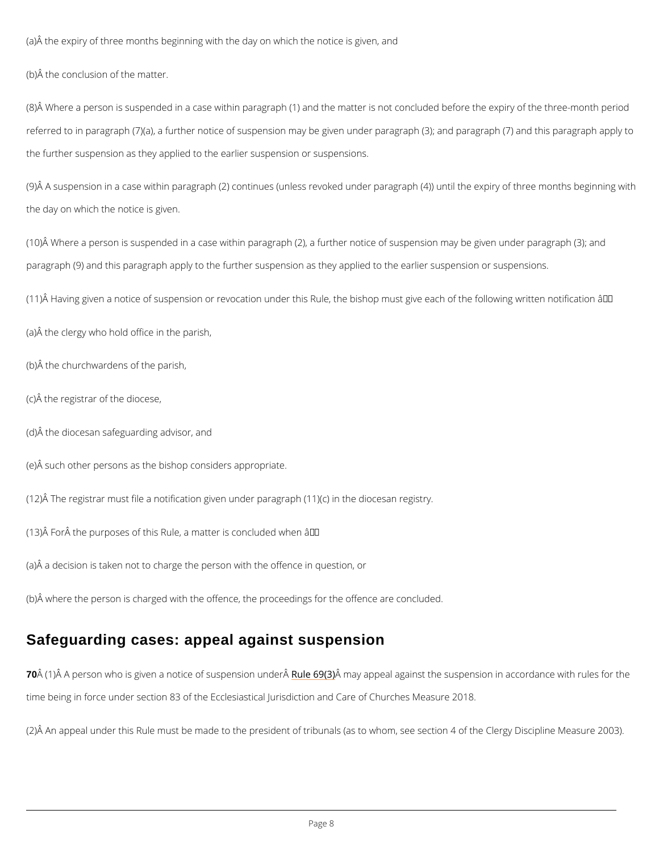(a)Â the expiry of three months beginning with the day on which the notice is given, and

(b)Â the conclusion of the matter.

 $(8)$  Where a person is suspended in a case within paragraph  $(1)$  and the matter is not concl referred to in paragraph (7)(a), a further notice of suspension may be given under paragraph the further suspension as they applied to the earlier suspension or suspensions.

(9)Â A suspension in a case within paragraph (2) continues (unless revoked under paragraph the day on which the notice is given.

(10)Å Where a person is suspended in a case within paragraph (2), a further notice of suspei paragraph (9) and this paragraph apply to the further suspension as they applied to the earli

(11)Å Having given a notice of suspension or revocation under this Rule, the bishop must giv

(a)Â the clergy who hold office in the parish,

(b)Â the churchwardens of the parish,

(c)Â the registrar of the diocese,

(d)Â the diocesan safeguarding advisor, and

(e)Â such other persons as the bishop considers appropriate.

(12)Å The registrar must file a notification given under paragraph (11)(c) in the diocesan reg

(13) $\hat{A}$  For $\hat{A}$  the purposes of this Rule, a matter is concluded when  $\hat{a} \in \hat{A}$ 

(a)Â a decision is taken not to charge the person with the offence in question, or

(b) $\hat{A}$  where the person is charged with the offence, the proceedings for the offence are concl

## Safeguarding cases: appeal against suspension

70 Å (1) Å A person who is given a notice Roufles  $690(6)$  analy appeal and painst the suspension in accordance  $30(4)$ 

time being in force under section 83 of the Ecclesiastical Jurisdiction and Care of Churches

(2)Â An appeal under this Rule must be made to the president of tribunals (as to whom, see )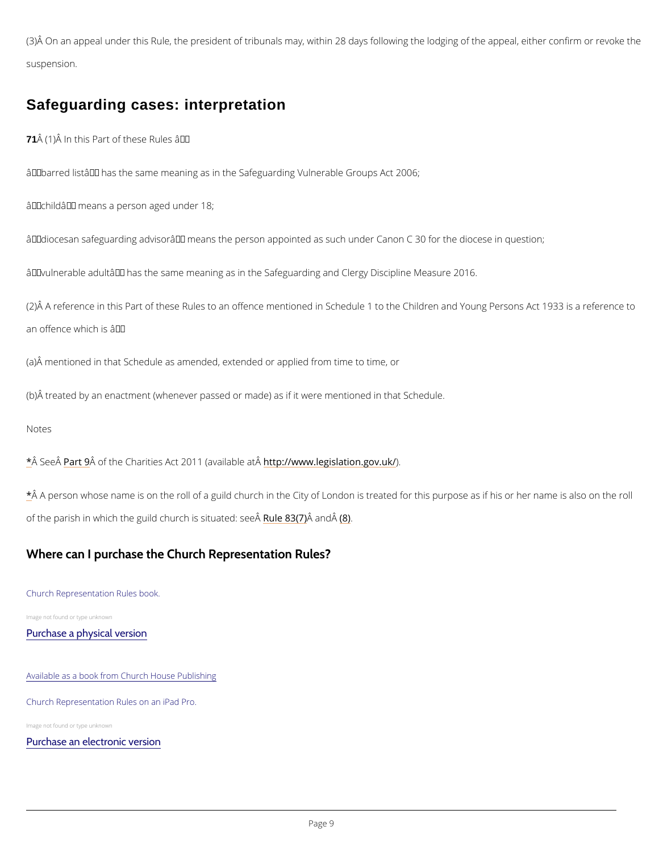<span id="page-8-0"></span>(3)Å On an appeal under this Rule, the president of tribunals may, within 28 days following t suspension.

### Safeguarding cases: interpretation

71  $\hat{A}$  (1)  $\hat{A}$  In this Part of these Rules  $\hat{a} \in \hat{A}$ 

 $\hat{a} \in \tilde{b}$  barred list $\hat{a} \in \tilde{b}$  has the same meaning as in the Safeguarding Vulnerable Groups Act 2006  $\hat{a} \in \tilde{c}$  child $\hat{a} \in \tilde{c}$  means a person aged under 18;

 $\hat{\mathbf{a}} \in \tilde{\mathbf{a}}$ diocesan safeguarding advisor $\hat{\mathbf{a}} \in \tilde{\mathbf{a}}$  means the person appointed as such under Canon C 30

 $\hat{a} \in \tilde{a}$  vulnerable adult $\hat{a} \in \tilde{a}$  has the same meaning as in the Safeguarding and Clergy Discipline

(2)Â A reference in this Part of these Rules to an offence mentioned in Schedule 1 to the Ch an offence which is  $\hat{a} \in$ "

(a)Â mentioned in that Schedule as amended, extended or applied from time to time, or

(b) $\hat{A}$  treated by an enactment (whenever passed or made) as if it were mentioned in that Sche

#### Notes

 $\Delta^*$  $\Delta^*$  Se $\Theta$ Â $\hat{A}$ rtÂ $9$ of the Charities Act 201Htt(pa://aww.leegislation.gov.uk/

[\\*](#page-1-0)Å A person whose name is on the roll of a guild church in the City of London is treated for t of the parish in which the guild chuR  $\bm{c}$  hei $\bm{\hat{s}}$  $\bm{\hat{s}}$  $\bm{\hat{s}}$ s (i $\bm{\hat{a}}$  )  $\bm{a}$  ( $\bm{\hat{B}}$ e) d: see  $\hat{A}$ 

Where can I purchase the Church Representation Rules?

Church Representation Rules book.

Image not found or type unknown



#### Available as a book from Church House Publishing

Church Representation Rules on an iPad Pro.

Image not found or type unknown

[Purchase an electronic version](https://www.amazon.co.uk/Church-Representation-Rules-2020-introduction-ebook/dp/B081T9THWT/ref=tmm_kin_swatch_0?_encoding=UTF8&qid=1575287955&sr=8-1)